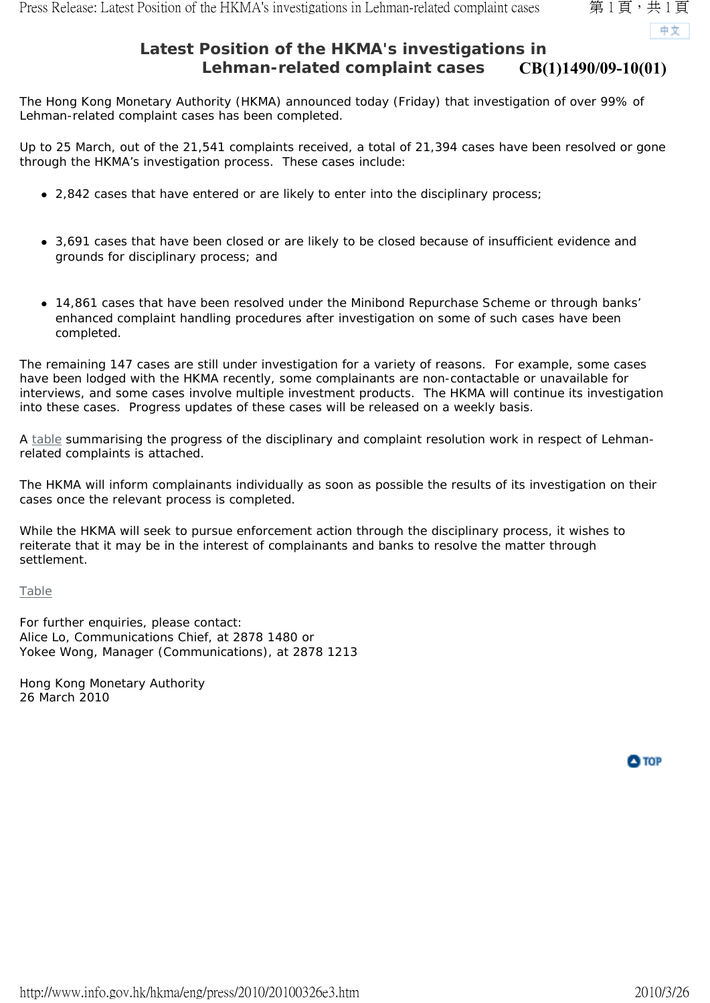中文

## **Latest Position of the HKMA's investigations in Lehman-related complaint cases CB(1)1490/09-10(01)**

The Hong Kong Monetary Authority (HKMA) announced today (Friday) that investigation of over 99% of Lehman-related complaint cases has been completed.

Up to 25 March, out of the 21,541 complaints received, a total of 21,394 cases have been resolved or gone through the HKMA's investigation process. These cases include:

- 2,842 cases that have entered or are likely to enter into the disciplinary process;
- 3,691 cases that have been closed or are likely to be closed because of insufficient evidence and grounds for disciplinary process; and
- 14,861 cases that have been resolved under the Minibond Repurchase Scheme or through banks' enhanced complaint handling procedures after investigation on some of such cases have been completed.

The remaining 147 cases are still under investigation for a variety of reasons. For example, some cases have been lodged with the HKMA recently, some complainants are non-contactable or unavailable for interviews, and some cases involve multiple investment products. The HKMA will continue its investigation into these cases. Progress updates of these cases will be released on a weekly basis.

A table summarising the progress of the disciplinary and complaint resolution work in respect of Lehmanrelated complaints is attached.

The HKMA will inform complainants individually as soon as possible the results of its investigation on their cases once the relevant process is completed.

While the HKMA will seek to pursue enforcement action through the disciplinary process, it wishes to reiterate that it may be in the interest of complainants and banks to resolve the matter through settlement.

Table

For further enquiries, please contact: Alice Lo, Communications Chief, at 2878 1480 or Yokee Wong, Manager (Communications), at 2878 1213

Hong Kong Monetary Authority 26 March 2010

O TOP